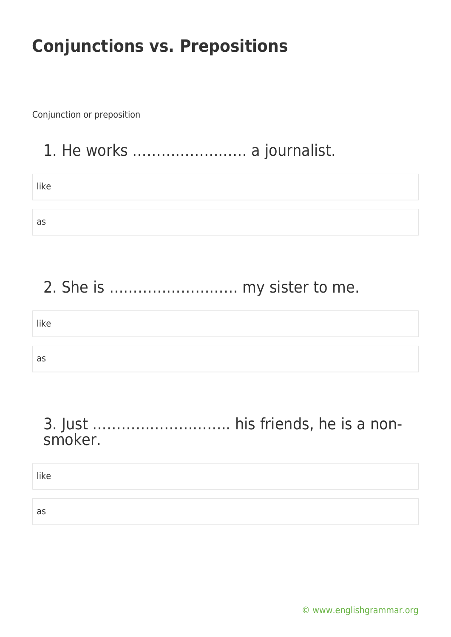Conjunction or preposition

## 1. He works …………………… a journalist.

| like |  |  |
|------|--|--|
|      |  |  |
| as   |  |  |

# 2. She is ……………………… my sister to me.

# like as

#### 3. Just ……………………….. his friends, he is a nonsmoker.

like

as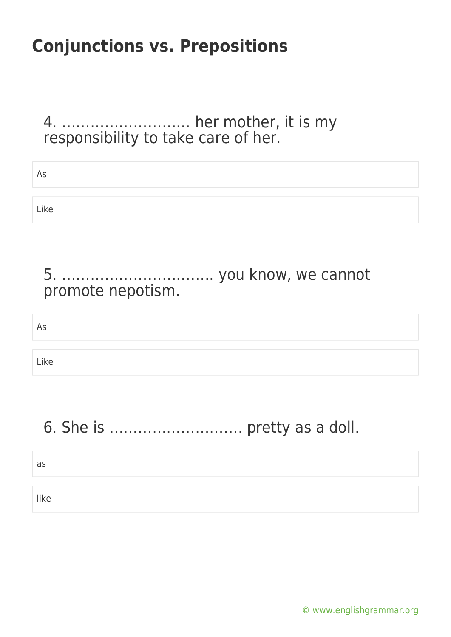4. ……………………… her mother, it is my responsibility to take care of her.

| As   |  |
|------|--|
|      |  |
| Like |  |

#### 5. ………………………….. you know, we cannot promote nepotism.

#### As

Like

## 6. She is ………………………. pretty as a doll.

#### as

like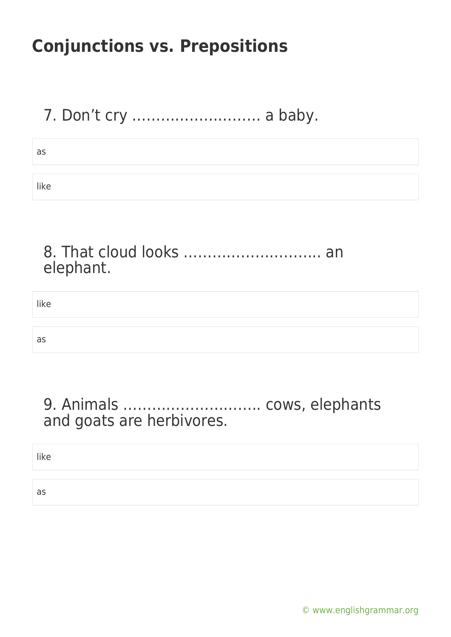## 7. Don't cry ……………………… a baby.

| as   |  |
|------|--|
|      |  |
| like |  |

#### 8. That cloud looks ............................... an elephant.

like

as

#### 9. Animals ……………………….. cows, elephants and goats are herbivores.

like

as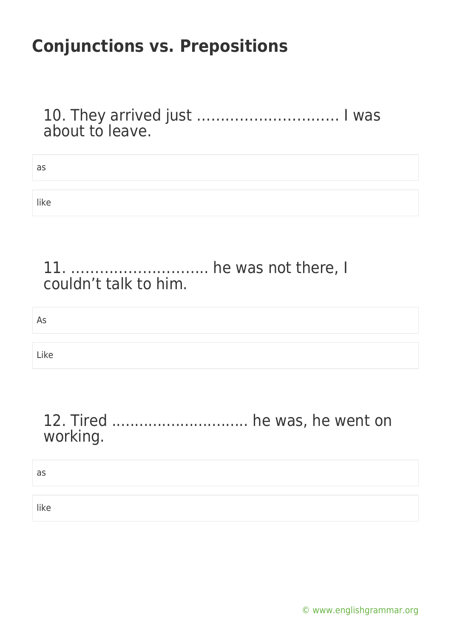10. They arrived just ………………………… I was about to leave.

| as   |  |
|------|--|
|      |  |
| like |  |

#### 11. ……………………….. he was not there, I couldn't talk to him.

As

Like

#### 12. Tired .............................. he was, he went on working.

as

like